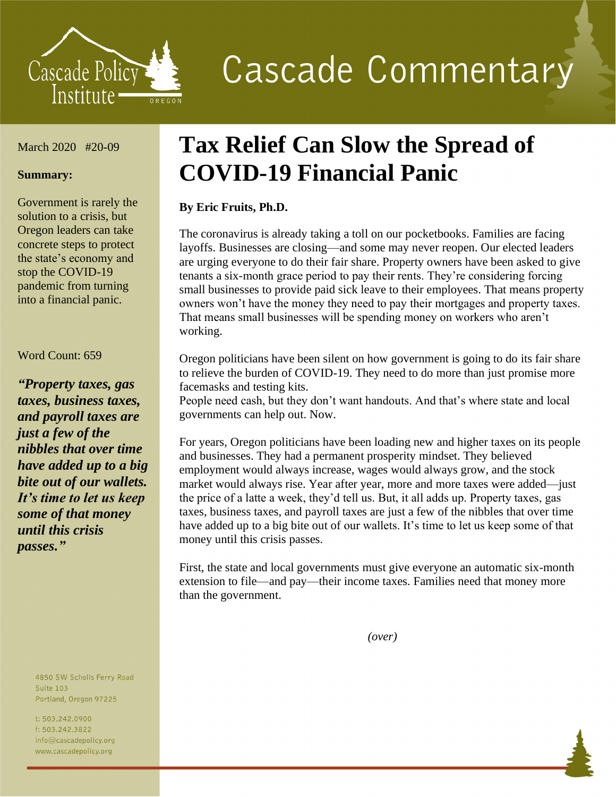

**Cascade Commentary** 

### March 2020 #20-09

#### **Summary:**

Government is rarely the solution to a crisis, but Oregon leaders can take concrete steps to protect the state's economy and stop the COVID-19 pandemic from turning into a financial panic.

#### Word Count: 659

*"Property taxes, gas taxes, business taxes, and payroll taxes are just a few of the nibbles that over time have added up to a big bite out of our wallets. It's time to let us keep some of that money until this crisis passes."*

> 4850 SW Scholls Ferry Road **Suite 103** Portland, Oregon 97225

t: 503.242.0900 f: 503.242.3822 info@cascadepolicy.org www.cascadepolicy.org

# **Tax Relief Can Slow the Spread of COVID-19 Financial Panic**

## **By Eric Fruits, Ph.D.**

The coronavirus is already taking a toll on our pocketbooks. Families are facing layoffs. Businesses are closing—and some may never reopen. Our elected leaders are urging everyone to do their fair share. Property owners have been asked to give tenants a six-month grace period to pay their rents. They're considering forcing small businesses to provide paid sick leave to their employees. That means property owners won't have the money they need to pay their mortgages and property taxes. That means small businesses will be spending money on workers who aren't working.

Oregon politicians have been silent on how government is going to do its fair share to relieve the burden of COVID-19. They need to do more than just promise more facemasks and testing kits.

People need cash, but they don't want handouts. And that's where state and local governments can help out. Now.

For years, Oregon politicians have been loading new and higher taxes on its people and businesses. They had a permanent prosperity mindset. They believed employment would always increase, wages would always grow, and the stock market would always rise. Year after year, more and more taxes were added—just the price of a latte a week, they'd tell us. But, it all adds up. Property taxes, gas taxes, business taxes, and payroll taxes are just a few of the nibbles that over time have added up to a big bite out of our wallets. It's time to let us keep some of that money until this crisis passes.

First, the state and local governments must give everyone an automatic six-month extension to file—and pay—their income taxes. Families need that money more than the government.

*(over)*